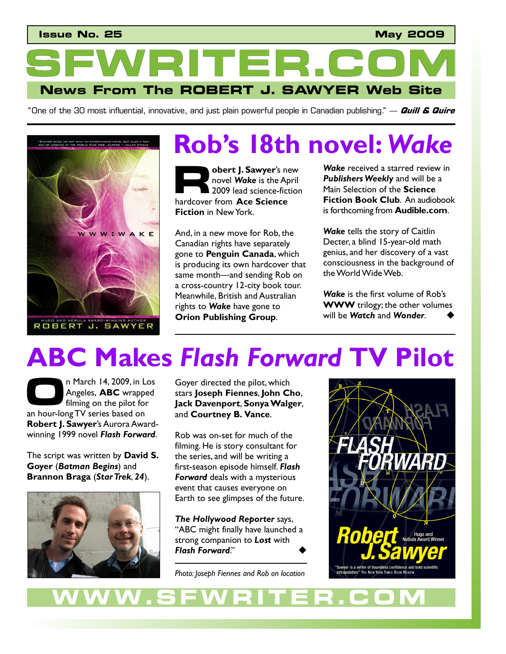### **Issue No. 25 May 2009**

**SFWRITER.COM News From The ROBERT J. SAWYER Web Site** 

"One of the 30 most influential, innovative, and just plain powerful people in Canadian publishing." — **Quill & Quire**



# **Rob's 18th novel: Wake**<br> **Rob's 18th novel: Wake**<br> **Rob** and Wake in the April **Publishers Weekly** and will be a

**obert J. Sawyer**'s new novel *Wake* is the April 2009 lead science-fiction **hardcover from Ace Science-fiet**<br> **R 2009** lead science-fiet<br>
hardcover from Ace Science **Fiction** in New York.

And, in a new move for Rob, the Canadian rights have separately gone to **Penguin Canada**, which is producing its own hardcover that same month–and sending Rob on a cross-country 12-city book tour. Meanwhile, British and Australian rights to *Wake* have gone to **Orion Publishing Group**.

*Wake* received a starred review in *Publishers Weekly* and will be a Main Selection of the **Science Fiction Book Club**. An audiobook is forthcoming from **Audible.com**.

*Wake* tells the story of Caitlin Decter, a blind 15-year-old math genius, and her discovery of a vast consciousness in the background of the World Wide Web.

*Wake* is the first volume of Rob's **WWW** trilogy; the other volumes will be *Watch* and *Wonder*.

# **ABC Makes** *Flash Forward* **TV Pilot**

n March 14, 2009, in Los Angeles, **ABC** wrapped filming on the pilot for an March 14, 2009, in L.<br>Angeles, **ABC** wrapped<br>filming on the pilot for<br>an hour-long TV series based on **Robert J. Sawyer**'s Aurora Awardwinning 1999 novel *Flash Forward*.

The script was written by **David S. Goyer** (*Batman Begins*) and **Brannon Braga** (*Star Trek*, *24*).



Goyer directed the pilot, which stars **Joseph Fiennes**, **John Cho**, **Jack Davenport**, **Sonya Walger**, and **Courtney B. Vance**.

Rob was on-set for much of the filming. He is story consultant for the series, and will be writing a first-season episode himself. *Flash Forward* deals with a mysterious event that causes everyone on Earth to see glimpses of the future.

*The Hollywood Reporter* says, "ABC might finally have launched a strong companion to *Lost* with *Flash Forward*."

*Photo: Joseph Fiennes and Rob on location* 



# **WWW.SFWRITER.COM**